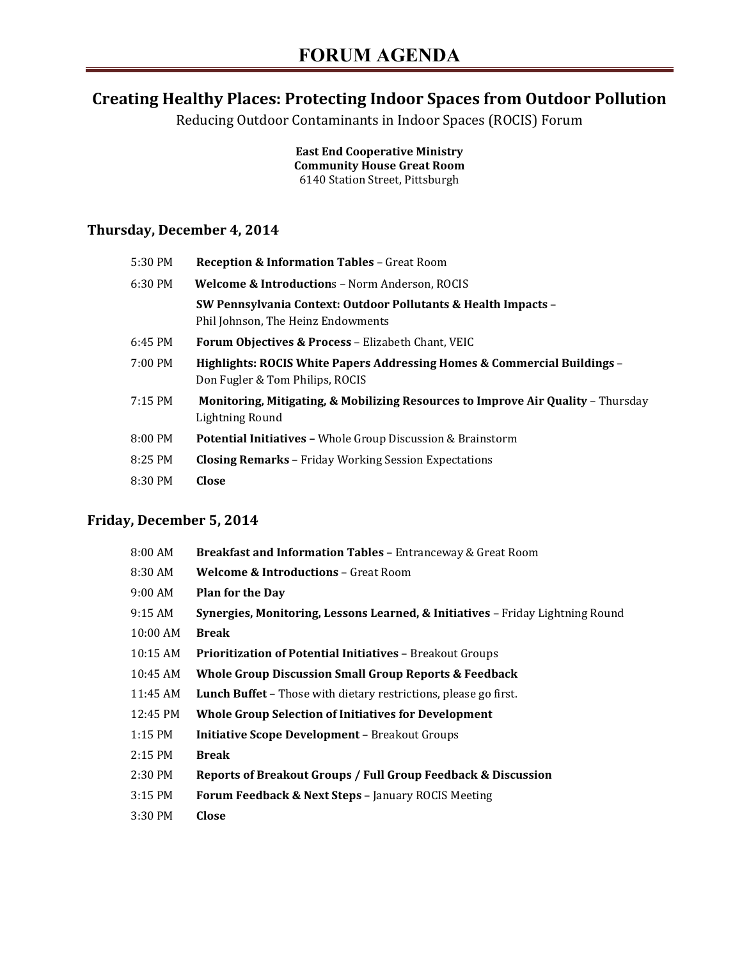# **Creating Healthy Places: Protecting Indoor Spaces from Outdoor Pollution**

Reducing Outdoor Contaminants in Indoor Spaces (ROCIS) Forum

**East End Cooperative Ministry Community House Great Room**  6140 Station Street, Pittsburgh

### **Thursday, December 4, 2014**

| 5:30 PM | <b>Reception &amp; Information Tables - Great Room</b>                                                      |
|---------|-------------------------------------------------------------------------------------------------------------|
| 6:30 PM | <b>Welcome &amp; Introductions - Norm Anderson, ROCIS</b>                                                   |
|         | SW Pennsylvania Context: Outdoor Pollutants & Health Impacts –<br>Phil Johnson, The Heinz Endowments        |
| 6:45 PM | <b>Forum Objectives &amp; Process - Elizabeth Chant, VEIC</b>                                               |
| 7:00 PM | Highlights: ROCIS White Papers Addressing Homes & Commercial Buildings –<br>Don Fugler & Tom Philips, ROCIS |
| 7:15 PM | Monitoring, Mitigating, & Mobilizing Resources to Improve Air Quality - Thursday<br>Lightning Round         |
| 8:00 PM | <b>Potential Initiatives - Whole Group Discussion &amp; Brainstorm</b>                                      |
| 8:25 PM | <b>Closing Remarks</b> – Friday Working Session Expectations                                                |
| 8:30 PM | Close                                                                                                       |

### **Friday, December 5, 2014**

| 8:00 AM  | Breakfast and Information Tables - Entranceway & Great Room                    |
|----------|--------------------------------------------------------------------------------|
| 8:30 AM  | <b>Welcome &amp; Introductions - Great Room</b>                                |
| 9:00 AM  | <b>Plan for the Day</b>                                                        |
| 9:15 AM  | Synergies, Monitoring, Lessons Learned, & Initiatives - Friday Lightning Round |
| 10:00 AM | <b>Break</b>                                                                   |
| 10:15 AM | <b>Prioritization of Potential Initiatives - Breakout Groups</b>               |
| 10:45 AM | <b>Whole Group Discussion Small Group Reports &amp; Feedback</b>               |
| 11:45 AM | <b>Lunch Buffet</b> – Those with dietary restrictions, please go first.        |
| 12:45 PM | <b>Whole Group Selection of Initiatives for Development</b>                    |
| 1:15 PM  | <b>Initiative Scope Development - Breakout Groups</b>                          |
| 2:15 PM  | <b>Break</b>                                                                   |
| 2:30 PM  | Reports of Breakout Groups / Full Group Feedback & Discussion                  |
| 3:15 PM  | <b>Forum Feedback &amp; Next Steps - January ROCIS Meeting</b>                 |
| 3:30 PM  | Close                                                                          |
|          |                                                                                |